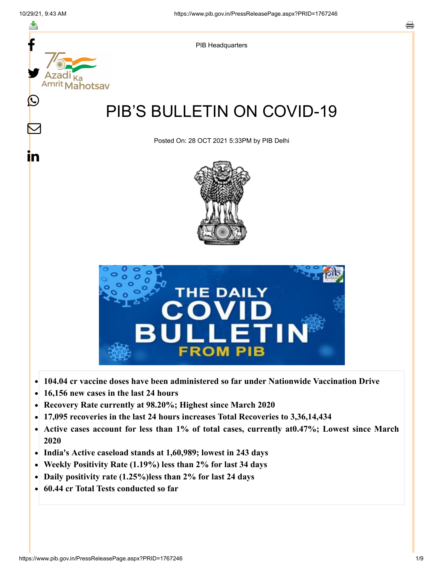

- **104.04 cr vaccine doses have been administered so far under Nationwide Vaccination Drive**
- **16,156 new cases in the last 24 hours**  $\bullet$
- **Recovery Rate currently at 98.20%; Highest since March 2020**
- **17,095 recoveries in the last 24 hours increases Total Recoveries to 3,36,14,434**  $\bullet$
- **Active cases account for less than 1% of total cases, currently at0.47%; Lowest since March**  $\bullet$ **2020**
- **India's Active caseload stands at 1,60,989; lowest in 243 days**
- **Weekly Positivity Rate (1.19%) less than 2% for last 34 days**  $\bullet$
- **Daily positivity rate (1.25%)less than 2% for last 24 days**  $\bullet$
- **60.44 cr Total Tests conducted so far**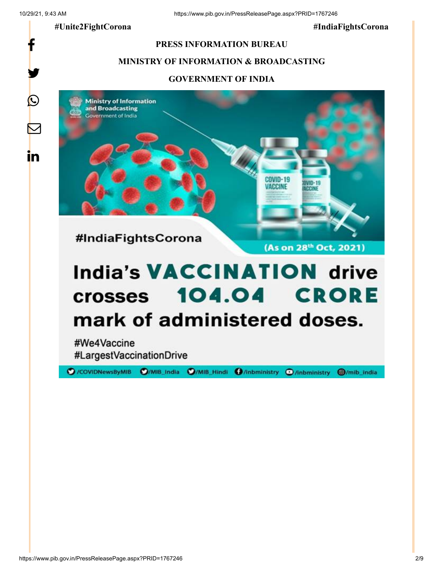f

y.

 $\bigcirc$ 

 $\color{red} \boxtimes$ 

in

**#Unite2FightCorona #IndiaFightsCorona**

#### **PRESS INFORMATION BUREAU**

## **MINISTRY OF INFORMATION & BROADCASTING**

#### **GOVERNMENT OF INDIA**



# **India's VACCINATION drive** crosses 104.04 CRORE mark of administered doses.

#We4Vaccine #LargestVaccinationDrive

O/COVIDNewsByMIB O/MIB\_India O/MIB\_Hindi O/inbministry O/inbministry O/mib\_india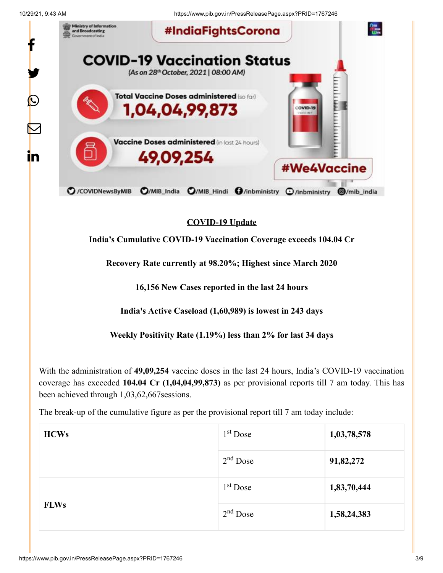10/29/21, 9:43 AM https://www.pib.gov.in/PressReleasePage.aspx?PRID=1767246



# **COVID-19 Update**

# **India's Cumulative COVID-19 Vaccination Coverage exceeds 104.04 Cr**

**Recovery Rate currently at 98.20%; Highest since March 2020**

**16,156 New Cases reported in the last 24 hours**

**India's Active Caseload (1,60,989) is lowest in 243 days**

**Weekly Positivity Rate (1.19%) less than 2% for last 34 days**

With the administration of **49,09,254** vaccine doses in the last 24 hours, India's COVID-19 vaccination coverage has exceeded **104.04 Cr (1,04,04,99,873)** as per provisional reports till 7 am today. This has been achieved through 1,03,62,667sessions.

The break-up of the cumulative figure as per the provisional report till 7 am today include:

| <b>HCWs</b> | $1st$ Dose           | 1,03,78,578 |
|-------------|----------------------|-------------|
|             | $2nd$ Dose           | 91,82,272   |
|             | 1 <sup>st</sup> Dose | 1,83,70,444 |
| <b>FLWs</b> | $2nd$ Dose           | 1,58,24,383 |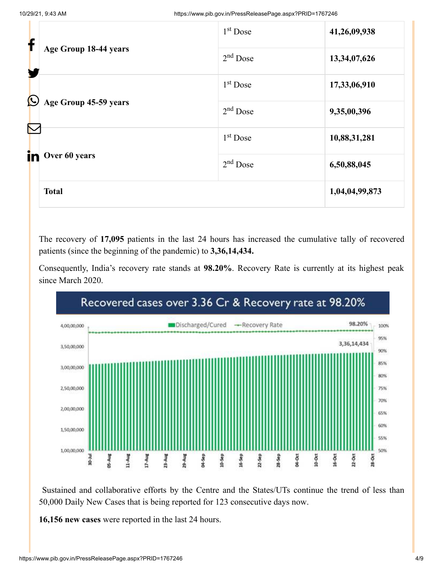| f                                          |                       | $1st$ Dose | 41,26,09,938   |
|--------------------------------------------|-----------------------|------------|----------------|
| Y                                          | Age Group 18-44 years | $2nd$ Dose | 13,34,07,626   |
|                                            |                       | $1st$ Dose | 17,33,06,910   |
| $\bm{\mathsf{O}}$<br>Age Group 45-59 years |                       | $2nd$ Dose | 9,35,00,396    |
| in                                         |                       | $1st$ Dose | 10,88,31,281   |
|                                            | Over 60 years         | $2nd$ Dose | 6,50,88,045    |
|                                            | <b>Total</b>          |            | 1,04,04,99,873 |

The recovery of **17,095** patients in the last 24 hours has increased the cumulative tally of recovered patients (since the beginning of the pandemic) to **3,36,14,434.**

Consequently, India's recovery rate stands at **98.20%**. Recovery Rate is currently at its highest peak since March 2020.



Sustained and collaborative efforts by the Centre and the States/UTs continue the trend of less than 50,000 Daily New Cases that is being reported for 123 consecutive days now.

**16,156 new cases** were reported in the last 24 hours.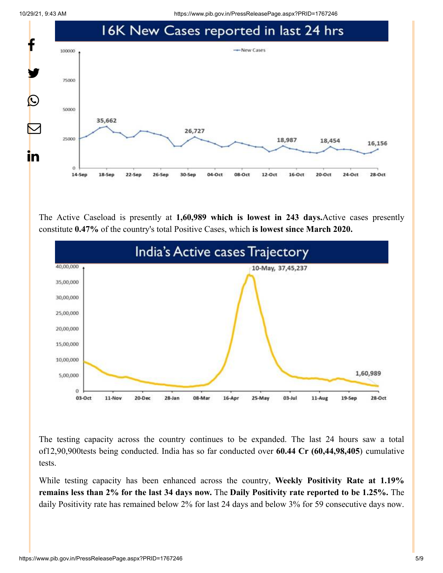10/29/21, 9:43 AM https://www.pib.gov.in/PressReleasePage.aspx?PRID=1767246



The Active Caseload is presently at **1,60,989 which is lowest in 243 days.**Active cases presently constitute **0.47%** of the country's total Positive Cases, which **is lowest since March 2020.**



The testing capacity across the country continues to be expanded. The last 24 hours saw a total of12,90,900tests being conducted. India has so far conducted over **60.44 Cr (60,44,98,405**) cumulative tests.

While testing capacity has been enhanced across the country, **Weekly Positivity Rate at 1.19% remains less than 2% for the last 34 days now.** The **Daily Positivity rate reported to be 1.25%.** The daily Positivity rate has remained below 2% for last 24 days and below 3% for 59 consecutive days now.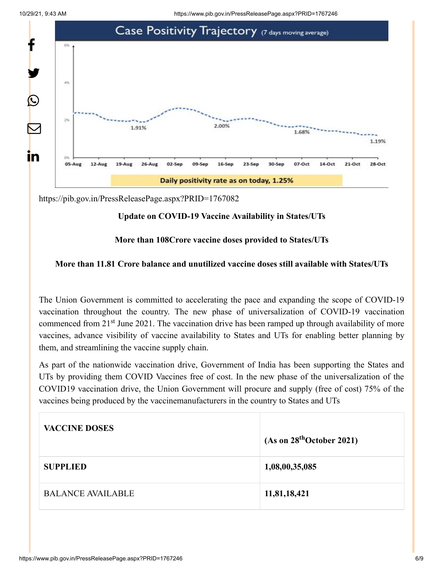

<https://pib.gov.in/PressReleasePage.aspx?PRID=1767082>

## **Update on COVID-19 Vaccine Availability in States/UTs**

#### **More than 108Crore vaccine doses provided to States/UTs**

## **More than 11.81 Crore balance and unutilized vaccine doses still available with States/UTs**

The Union Government is committed to accelerating the pace and expanding the scope of COVID-19 vaccination throughout the country. The new phase of universalization of COVID-19 vaccination commenced from 21<sup>st</sup> June 2021. The vaccination drive has been ramped up through availability of more vaccines, advance visibility of vaccine availability to States and UTs for enabling better planning by them, and streamlining the vaccine supply chain.

As part of the nationwide vaccination drive, Government of India has been supporting the States and UTs by providing them COVID Vaccines free of cost. In the new phase of the universalization of the COVID19 vaccination drive, the Union Government will procure and supply (free of cost) 75% of the vaccines being produced by the vaccinemanufacturers in the country to States and UTs

| <b>VACCINE DOSES</b>     | (As on 28 <sup>th</sup> October 2021) |
|--------------------------|---------------------------------------|
| <b>SUPPLIED</b>          | 1,08,00,35,085                        |
| <b>BALANCE AVAILABLE</b> | 11,81,18,421                          |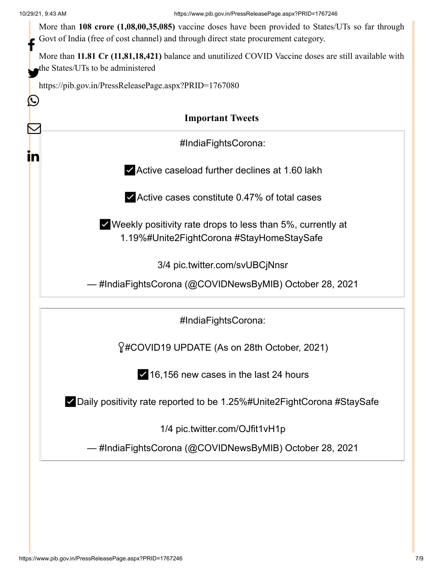IY)

 $\bf \nabla$ 

in

| More than 108 crore (1,08,00,35,085) vaccine doses have been provided to States/UTs so far through |
|----------------------------------------------------------------------------------------------------|
| Govt of India (free of cost channel) and through direct state procurement category.                |
|                                                                                                    |

More than **11.81 Cr (11,81,18,421)** balance and unutilized COVID Vaccine doses are still available with the States/UTs to be administered

<https://pib.gov.in/PressReleasePage.aspx?PRID=1767080>

# **Important Tweets**

[#IndiaFightsCorona:](https://twitter.com/hashtag/IndiaFightsCorona?src=hash&ref_src=twsrc%5Etfw)

✅Active caseload further declines at 1.60 lakh

✅Active cases constitute 0.47% of total cases

✅Weekly positivity rate drops to less than 5%, currently at 1.19[%#Unite2FightCorona](https://twitter.com/hashtag/Unite2FightCorona?src=hash&ref_src=twsrc%5Etfw) [#StayHomeStaySafe](https://twitter.com/hashtag/StayHomeStaySafe?src=hash&ref_src=twsrc%5Etfw)

3/4 [pic.twitter.com/svUBCjNnsr](https://t.co/svUBCjNnsr)

— #IndiaFightsCorona (@COVIDNewsByMIB) [October 28, 2021](https://twitter.com/COVIDNewsByMIB/status/1453600145048674307?ref_src=twsrc%5Etfw)

[#IndiaFightsCorona:](https://twitter.com/hashtag/IndiaFightsCorona?src=hash&ref_src=twsrc%5Etfw)

[#COVID19](https://twitter.com/hashtag/COVID19?src=hash&ref_src=twsrc%5Etfw) UPDATE (As on 28th October, 2021)

✅16,156 new cases in the last 24 hours

✅Daily positivity rate reported to be 1.25[%#Unite2FightCorona](https://twitter.com/hashtag/Unite2FightCorona?src=hash&ref_src=twsrc%5Etfw) [#StaySafe](https://twitter.com/hashtag/StaySafe?src=hash&ref_src=twsrc%5Etfw)

1/4 [pic.twitter.com/OJfit1vH1p](https://t.co/OJfit1vH1p)

— #IndiaFightsCorona (@COVIDNewsByMIB) [October 28, 2021](https://twitter.com/COVIDNewsByMIB/status/1453600127214505987?ref_src=twsrc%5Etfw)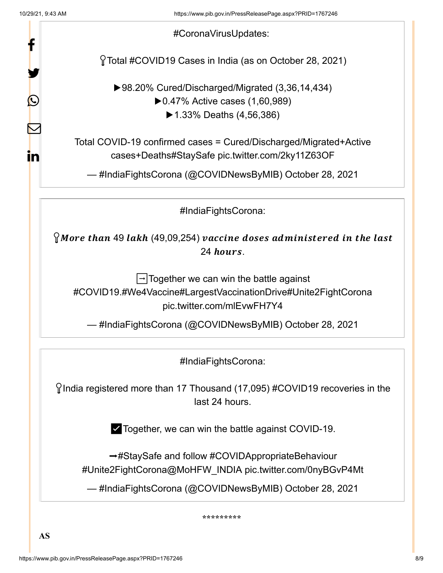| Protal #COVID19 Cases in India (as on October 28, 2021)<br>▶98.20% Cured/Discharged/Migrated (3,36,14,434)<br>▶ $0.47\%$ Active cases (1,60,989)<br>▶ 1.33% Deaths $(4,56,386)$<br>Total COVID-19 confirmed cases = Cured/Discharged/Migrated+Active<br>cases+Deaths#StaySafe pic.twitter.com/2ky11Z63OF<br>— #IndiaFightsCorona (@COVIDNewsByMIB) October 28, 2021<br>#IndiaFightsCorona:<br>$\gamma$ More than 49 lakh (49,09,254) vaccine doses administered in the last<br>24 hours. |
|------------------------------------------------------------------------------------------------------------------------------------------------------------------------------------------------------------------------------------------------------------------------------------------------------------------------------------------------------------------------------------------------------------------------------------------------------------------------------------------|
|                                                                                                                                                                                                                                                                                                                                                                                                                                                                                          |
|                                                                                                                                                                                                                                                                                                                                                                                                                                                                                          |
|                                                                                                                                                                                                                                                                                                                                                                                                                                                                                          |
|                                                                                                                                                                                                                                                                                                                                                                                                                                                                                          |
|                                                                                                                                                                                                                                                                                                                                                                                                                                                                                          |
|                                                                                                                                                                                                                                                                                                                                                                                                                                                                                          |
| $\lvert \rightarrow \rvert$ Together we can win the battle against<br>#COVID19.#We4Vaccine#LargestVaccinationDrive#Unite2FightCorona<br>pic.twitter.com/mlEvwFH7Y4                                                                                                                                                                                                                                                                                                                       |
| — #IndiaFightsCorona (@COVIDNewsByMIB) October 28, 2021                                                                                                                                                                                                                                                                                                                                                                                                                                  |
| #IndiaFightsCorona:                                                                                                                                                                                                                                                                                                                                                                                                                                                                      |
| $\gamma$ India registered more than 17 Thousand (17,095) #COVID19 recoveries in the<br>last 24 hours.                                                                                                                                                                                                                                                                                                                                                                                    |
| ► Together, we can win the battle against COVID-19.                                                                                                                                                                                                                                                                                                                                                                                                                                      |
| →#StaySafe and follow #COVIDAppropriateBehaviour<br>#Unite2FightCorona@MoHFW INDIA pic.twitter.com/0nyBGvP4Mt                                                                                                                                                                                                                                                                                                                                                                            |
| — #IndiaFightsCorona (@COVIDNewsByMIB) October 28, 2021                                                                                                                                                                                                                                                                                                                                                                                                                                  |
|                                                                                                                                                                                                                                                                                                                                                                                                                                                                                          |